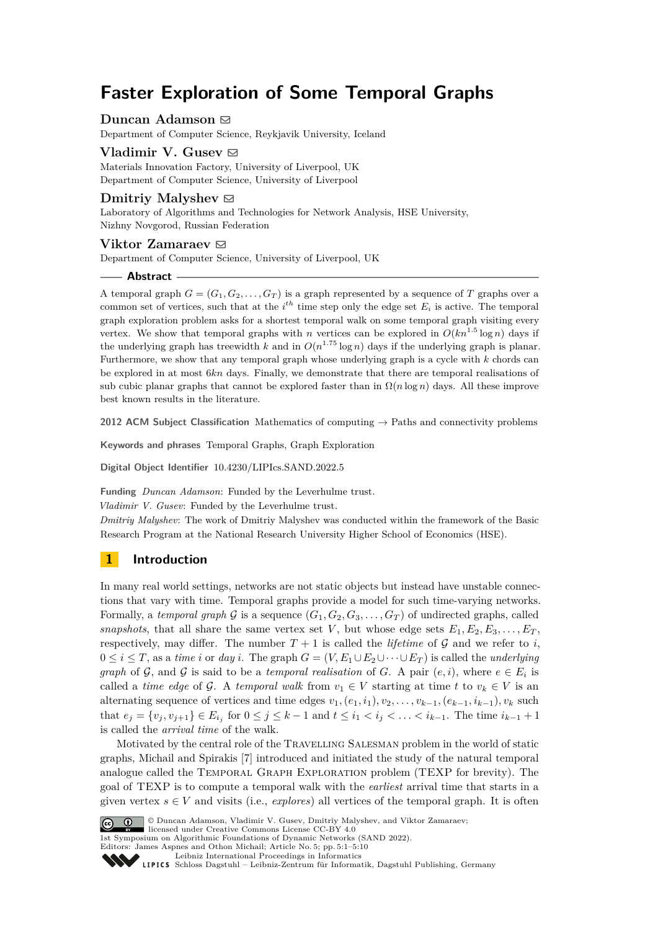# **Faster Exploration of Some Temporal Graphs**

## **Duncan Adamson** ⊠

Department of Computer Science, Reykjavik University, Iceland

## **Vladimir V. Gusey**  $\boxtimes$

Materials Innovation Factory, University of Liverpool, UK Department of Computer Science, University of Liverpool

## **Dmitriy Malyshev**  $\odot$

Laboratory of Algorithms and Technologies for Network Analysis, HSE University, Nizhny Novgorod, Russian Federation

## **Viktor Zamaraev** ⊠

Department of Computer Science, University of Liverpool, UK

## **Abstract**

A temporal graph  $G = (G_1, G_2, \ldots, G_T)$  is a graph represented by a sequence of *T* graphs over a common set of vertices, such that at the  $i^{th}$  time step only the edge set  $E_i$  is active. The temporal graph exploration problem asks for a shortest temporal walk on some temporal graph visiting every vertex. We show that temporal graphs with *n* vertices can be explored in  $O(kn^{1.5} \log n)$  days if the underlying graph has treewidth *k* and in  $O(n^{1.75} \log n)$  days if the underlying graph is planar. Furthermore, we show that any temporal graph whose underlying graph is a cycle with *k* chords can be explored in at most 6*kn* days. Finally, we demonstrate that there are temporal realisations of sub cubic planar graphs that cannot be explored faster than in  $\Omega(n \log n)$  days. All these improve best known results in the literature.

**2012 ACM Subject Classification** Mathematics of computing → Paths and connectivity problems

**Keywords and phrases** Temporal Graphs, Graph Exploration

**Digital Object Identifier** [10.4230/LIPIcs.SAND.2022.5](https://doi.org/10.4230/LIPIcs.SAND.2022.5)

**Funding** *Duncan Adamson*: Funded by the Leverhulme trust.

*Vladimir V. Gusev*: Funded by the Leverhulme trust.

*Dmitriy Malyshev*: The work of Dmitriy Malyshev was conducted within the framework of the Basic Research Program at the National Research University Higher School of Economics (HSE).

# **1 Introduction**

In many real world settings, networks are not static objects but instead have unstable connections that vary with time. Temporal graphs provide a model for such time-varying networks. Formally, a *temporal graph* G is a sequence  $(G_1, G_2, G_3, \ldots, G_T)$  of undirected graphs, called *snapshots*, that all share the same vertex set *V*, but whose edge sets  $E_1, E_2, E_3, \ldots, E_T$ , respectively, may differ. The number  $T + 1$  is called the *lifetime* of G and we refer to *i*,  $0 \leq i \leq T$ , as a *time i* or *day i*. The graph  $G = (V, E_1 \cup E_2 \cup \cdots \cup E_T)$  is called the *underlying graph* of G, and G is said to be a *temporal realisation* of G. A pair  $(e, i)$ , where  $e \in E_i$  is called a *time edge* of G. A *temporal walk* from  $v_1 \in V$  starting at time  $t$  to  $v_k \in V$  is an alternating sequence of vertices and time edges  $v_1, (e_1, i_1), v_2, \ldots, v_{k-1}, (e_{k-1}, i_{k-1}), v_k$  such that  $e_j = \{v_j, v_{j+1}\}\in E_{i_j}$  for  $0 \le j \le k-1$  and  $t \le i_1 < i_j < \ldots < i_{k-1}$ . The time  $i_{k-1}+1$ is called the *arrival time* of the walk.

Motivated by the central role of the Travelling Salesman problem in the world of static graphs, Michail and Spirakis [\[7\]](#page-9-0) introduced and initiated the study of the natural temporal analogue called the Temporal Graph Exploration problem (TEXP for brevity). The goal of TEXP is to compute a temporal walk with the *earliest* arrival time that starts in a given vertex  $s \in V$  and visits (i.e., *explores*) all vertices of the temporal graph. It is often



© Duncan Adamson, Vladimir V. Gusev, Dmitriy Malyshev, and Viktor Zamaraev;

licensed under Creative Commons License CC-BY 4.0 1st Symposium on Algorithmic Foundations of Dynamic Networks (SAND 2022).

Editors: James Aspnes and Othon Michail; Article No. 5; pp. 5:1–5:10

Leibniz International Froceedings in Informatik, Dagstuhl Publishing, Germany<br>LIPICS [Schloss Dagstuhl – Leibniz-Zentrum für Informatik, Dagstuhl Publishing, Germany](https://www.dagstuhl.de)

[Leibniz International Proceedings in Informatics](https://www.dagstuhl.de/lipics/)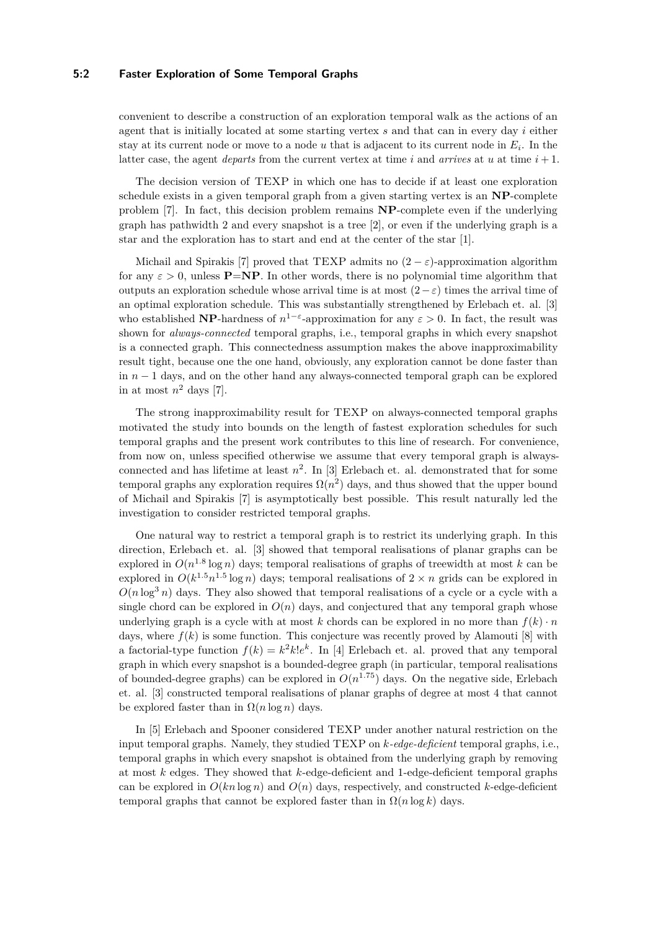#### **5:2 Faster Exploration of Some Temporal Graphs**

convenient to describe a construction of an exploration temporal walk as the actions of an agent that is initially located at some starting vertex *s* and that can in every day *i* either stay at its current node or move to a node *u* that is adjacent to its current node in *E<sup>i</sup>* . In the latter case, the agent *departs* from the current vertex at time *i* and *arrives* at *u* at time  $i + 1$ .

The decision version of TEXP in which one has to decide if at least one exploration schedule exists in a given temporal graph from a given starting vertex is an **NP**-complete problem [\[7\]](#page-9-0). In fact, this decision problem remains **NP**-complete even if the underlying graph has pathwidth 2 and every snapshot is a tree  $[2]$ , or even if the underlying graph is a star and the exploration has to start and end at the center of the star [\[1\]](#page-9-2).

Michail and Spirakis [\[7\]](#page-9-0) proved that TEXP admits no  $(2 - \varepsilon)$ -approximation algorithm for any  $\varepsilon > 0$ , unless **P**=**NP**. In other words, there is no polynomial time algorithm that outputs an exploration schedule whose arrival time is at most  $(2-\varepsilon)$  times the arrival time of an optimal exploration schedule. This was substantially strengthened by Erlebach et. al. [\[3\]](#page-9-3) who established **NP**-hardness of  $n^{1-\epsilon}$ -approximation for any  $\epsilon > 0$ . In fact, the result was shown for *always-connected* temporal graphs, i.e., temporal graphs in which every snapshot is a connected graph. This connectedness assumption makes the above inapproximability result tight, because one the one hand, obviously, any exploration cannot be done faster than in *n* − 1 days, and on the other hand any always-connected temporal graph can be explored in at most  $n^2$  days [\[7\]](#page-9-0).

The strong inapproximability result for TEXP on always-connected temporal graphs motivated the study into bounds on the length of fastest exploration schedules for such temporal graphs and the present work contributes to this line of research. For convenience, from now on, unless specified otherwise we assume that every temporal graph is alwaysconnected and has lifetime at least  $n^2$ . In [\[3\]](#page-9-3) Erlebach et. al. demonstrated that for some temporal graphs any exploration requires  $\Omega(n^2)$  days, and thus showed that the upper bound of Michail and Spirakis [\[7\]](#page-9-0) is asymptotically best possible. This result naturally led the investigation to consider restricted temporal graphs.

One natural way to restrict a temporal graph is to restrict its underlying graph. In this direction, Erlebach et. al. [\[3\]](#page-9-3) showed that temporal realisations of planar graphs can be explored in  $O(n^{1.8} \log n)$  days; temporal realisations of graphs of treewidth at most *k* can be explored in  $O(k^{1.5}n^{1.5}\log n)$  days; temporal realisations of  $2 \times n$  grids can be explored in  $O(n \log^3 n)$  days. They also showed that temporal realisations of a cycle or a cycle with a single chord can be explored in  $O(n)$  days, and conjectured that any temporal graph whose underlying graph is a cycle with at most  $k$  chords can be explored in no more than  $f(k) \cdot n$ days, where  $f(k)$  is some function. This conjecture was recently proved by Alamouti [\[8\]](#page-9-4) with a factorial-type function  $f(k) = k^2 k! e^k$ . In [\[4\]](#page-9-5) Erlebach et. al. proved that any temporal graph in which every snapshot is a bounded-degree graph (in particular, temporal realisations of bounded-degree graphs) can be explored in  $O(n^{1.75})$  days. On the negative side, Erlebach et. al. [\[3\]](#page-9-3) constructed temporal realisations of planar graphs of degree at most 4 that cannot be explored faster than in  $\Omega(n \log n)$  days.

In [\[5\]](#page-9-6) Erlebach and Spooner considered TEXP under another natural restriction on the input temporal graphs. Namely, they studied TEXP on *k-edge-deficient* temporal graphs, i.e., temporal graphs in which every snapshot is obtained from the underlying graph by removing at most *k* edges. They showed that *k*-edge-deficient and 1-edge-deficient temporal graphs can be explored in  $O(kn \log n)$  and  $O(n)$  days, respectively, and constructed *k*-edge-deficient temporal graphs that cannot be explored faster than in  $\Omega(n \log k)$  days.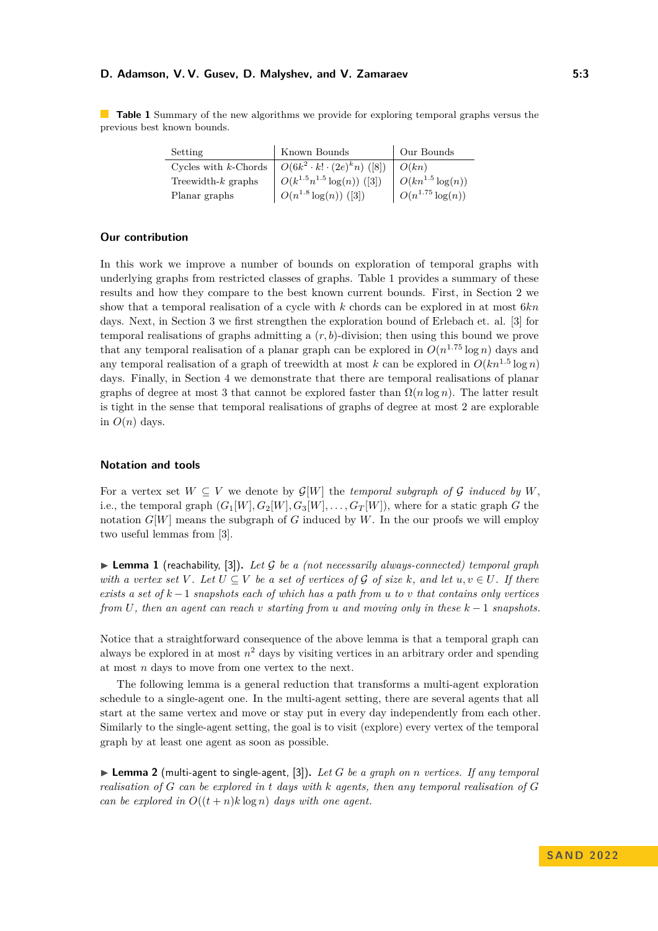#### **D. Adamson, V. V. Gusev, D. Malyshev, and V. Zamaraev 5:3**

<span id="page-2-0"></span>**Table 1** Summary of the new algorithms we provide for exploring temporal graphs versus the previous best known bounds.

| Setting               | Known Bounds                     | Our Bounds              |
|-----------------------|----------------------------------|-------------------------|
|                       |                                  |                         |
| Treewidth- $k$ graphs | $O(k^{1.5}n^{1.5}\log(n))$ ([3]) | $  O(kn^{1.5} \log(n))$ |
| Planar graphs         | $O(n^{1.8} \log(n))$ ([3])       | $O(n^{1.75} \log(n))$   |

## **Our contribution**

In this work we improve a number of bounds on exploration of temporal graphs with underlying graphs from restricted classes of graphs. Table [1](#page-2-0) provides a summary of these results and how they compare to the best known current bounds. First, in Section [2](#page-3-0) we show that a temporal realisation of a cycle with *k* chords can be explored in at most 6*kn* days. Next, in Section [3](#page-4-0) we first strengthen the exploration bound of Erlebach et. al. [\[3\]](#page-9-3) for temporal realisations of graphs admitting a (*r, b*)-division; then using this bound we prove that any temporal realisation of a planar graph can be explored in  $O(n^{1.75} \log n)$  days and any temporal realisation of a graph of treewidth at most  $k$  can be explored in  $O(kn^{1.5}\log n)$ days. Finally, in Section [4](#page-7-0) we demonstrate that there are temporal realisations of planar graphs of degree at most 3 that cannot be explored faster than  $\Omega(n \log n)$ . The latter result is tight in the sense that temporal realisations of graphs of degree at most 2 are explorable in  $O(n)$  days.

## **Notation and tools**

For a vertex set  $W \subseteq V$  we denote by  $\mathcal{G}[W]$  the *temporal subgraph of*  $\mathcal G$  *induced by*  $W$ , i.e., the temporal graph  $(G_1[W], G_2[W], G_3[W], \ldots, G_T[W])$ , where for a static graph *G* the notation  $G[W]$  means the subgraph of  $G$  induced by  $W$ . In the our proofs we will employ two useful lemmas from [\[3\]](#page-9-3).

<span id="page-2-1"></span>▶ **Lemma 1** (reachability, [\[3\]](#page-9-3))**.** *Let* G *be a (not necessarily always-connected) temporal graph with a vertex set*  $V$ *. Let*  $U \subseteq V$  *be a set of vertices of*  $\mathcal G$  *of size*  $k$ *, and let*  $u, v \in U$ *. If there exists a set of k* −1 *snapshots each of which has a path from u to v that contains only vertices from U, then an agent can reach v starting from u and moving only in these k* − 1 *snapshots.*

Notice that a straightforward consequence of the above lemma is that a temporal graph can always be explored in at most  $n^2$  days by visiting vertices in an arbitrary order and spending at most *n* days to move from one vertex to the next.

The following lemma is a general reduction that transforms a multi-agent exploration schedule to a single-agent one. In the multi-agent setting, there are several agents that all start at the same vertex and move or stay put in every day independently from each other. Similarly to the single-agent setting, the goal is to visit (explore) every vertex of the temporal graph by at least one agent as soon as possible.

<span id="page-2-2"></span> $\blacktriangleright$  **Lemma 2** (multi-agent to single-agent, [\[3\]](#page-9-3)). Let G be a graph on *n* vertices. If any temporal *realisation of G can be explored in t days with k agents, then any temporal realisation of G can be explored in*  $O((t+n)k \log n)$  *days with one agent.*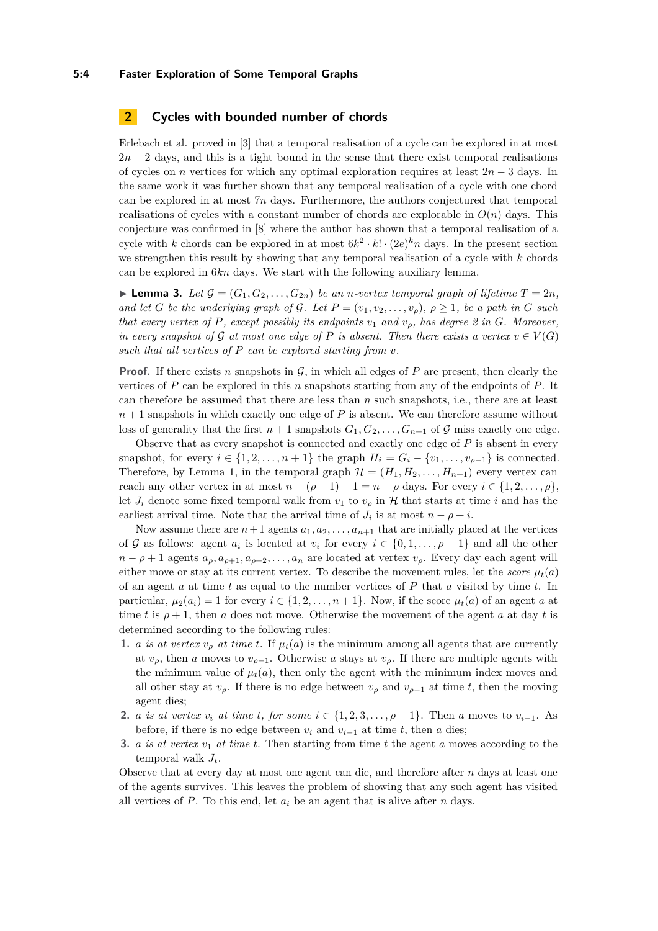#### **5:4 Faster Exploration of Some Temporal Graphs**

# <span id="page-3-0"></span>**2 Cycles with bounded number of chords**

Erlebach et al. proved in [\[3\]](#page-9-3) that a temporal realisation of a cycle can be explored in at most  $2n-2$  days, and this is a tight bound in the sense that there exist temporal realisations of cycles on *n* vertices for which any optimal exploration requires at least 2*n* − 3 days. In the same work it was further shown that any temporal realisation of a cycle with one chord can be explored in at most 7*n* days. Furthermore, the authors conjectured that temporal realisations of cycles with a constant number of chords are explorable in  $O(n)$  days. This conjecture was confirmed in [\[8\]](#page-9-4) where the author has shown that a temporal realisation of a cycle with *k* chords can be explored in at most  $6k^2 \cdot k! \cdot (2e)^k n$  days. In the present section we strengthen this result by showing that any temporal realisation of a cycle with *k* chords can be explored in 6*kn* days. We start with the following auxiliary lemma.

<span id="page-3-1"></span> $\blacktriangleright$  **Lemma 3.** Let  $\mathcal{G} = (G_1, G_2, \ldots, G_{2n})$  be an *n*-vertex temporal graph of lifetime  $T = 2n$ , *and let G be the underlying graph of G. Let*  $P = (v_1, v_2, \ldots, v_\rho), \rho \geq 1$ *, be a path in G such that every vertex of*  $P$ *, except possibly its endpoints*  $v_1$  *and*  $v_0$ *, has degree 2 in G. Moreover, in every snapshot of* G *at most one edge of* P *is absent. Then there exists a vertex*  $v \in V(G)$ *such that all vertices of P can be explored starting from v.*

**Proof.** If there exists *n* snapshots in  $\mathcal{G}$ , in which all edges of *P* are present, then clearly the vertices of *P* can be explored in this *n* snapshots starting from any of the endpoints of *P*. It can therefore be assumed that there are less than *n* such snapshots, i.e., there are at least *n* + 1 snapshots in which exactly one edge of *P* is absent. We can therefore assume without loss of generality that the first  $n+1$  snapshots  $G_1, G_2, \ldots, G_{n+1}$  of  $\mathcal G$  miss exactly one edge.

Observe that as every snapshot is connected and exactly one edge of *P* is absent in every snapshot, for every  $i \in \{1, 2, \ldots, n+1\}$  the graph  $H_i = G_i - \{v_1, \ldots, v_{\rho-1}\}$  is connected. Therefore, by Lemma [1,](#page-2-1) in the temporal graph  $\mathcal{H} = (H_1, H_2, \ldots, H_{n+1})$  every vertex can reach any other vertex in at most  $n - (\rho - 1) - 1 = n - \rho$  days. For every  $i \in \{1, 2, \ldots, \rho\}$ , let  $J_i$  denote some fixed temporal walk from  $v_1$  to  $v_\rho$  in H that starts at time *i* and has the earliest arrival time. Note that the arrival time of  $J_i$  is at most  $n - \rho + i$ .

Now assume there are  $n+1$  agents  $a_1, a_2, \ldots, a_{n+1}$  that are initially placed at the vertices of G as follows: agent  $a_i$  is located at  $v_i$  for every  $i \in \{0, 1, \ldots, \rho - 1\}$  and all the other  $n - \rho + 1$  agents  $a_{\rho}, a_{\rho+1}, a_{\rho+2}, \ldots, a_n$  are located at vertex  $v_{\rho}$ . Every day each agent will either move or stay at its current vertex. To describe the movement rules, let the *score*  $\mu_t(a)$ of an agent *a* at time *t* as equal to the number vertices of *P* that *a* visited by time *t*. In particular,  $\mu_2(a_i) = 1$  for every  $i \in \{1, 2, \ldots, n+1\}$ . Now, if the score  $\mu_t(a)$  of an agent *a* at time *t* is  $\rho + 1$ , then *a* does not move. Otherwise the movement of the agent *a* at day *t* is determined according to the following rules:

- **1.** *a is at vertex*  $v_{\rho}$  *at time t*. If  $\mu_t(a)$  is the minimum among all agents that are currently at  $v_{\rho}$ , then *a* moves to  $v_{\rho-1}$ . Otherwise *a* stays at  $v_{\rho}$ . If there are multiple agents with the minimum value of  $\mu_t(a)$ , then only the agent with the minimum index moves and all other stay at  $v_\rho$ . If there is no edge between  $v_\rho$  and  $v_{\rho-1}$  at time *t*, then the moving agent dies;
- 2. *a is at vertex*  $v_i$  *at time t, for some*  $i \in \{1, 2, 3, \ldots, \rho 1\}$ . Then *a* moves to  $v_{i-1}$ . As before, if there is no edge between  $v_i$  and  $v_{i-1}$  at time  $t$ , then  $a$  dies;
- **3.** *a is at vertex*  $v_1$  *at time t*. Then starting from time *t* the agent *a* moves according to the temporal walk *Jt*.

Observe that at every day at most one agent can die, and therefore after *n* days at least one of the agents survives. This leaves the problem of showing that any such agent has visited all vertices of  $P$ . To this end, let  $a_i$  be an agent that is alive after  $n$  days.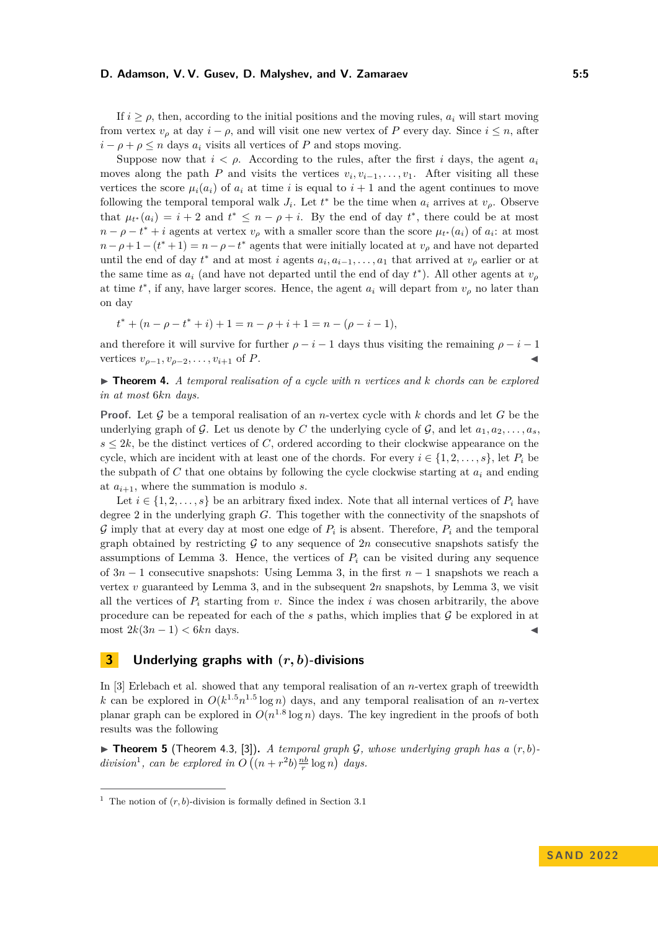#### **D. Adamson, V. V. Gusev, D. Malyshev, and V. Zamaraev 5:5**

If  $i \geq \rho$ , then, according to the initial positions and the moving rules,  $a_i$  will start moving from vertex  $v_{\rho}$  at day  $i - \rho$ , and will visit one new vertex of *P* every day. Since  $i \leq n$ , after  $i - \rho + \rho \leq n$  days  $a_i$  visits all vertices of *P* and stops moving.

Suppose now that  $i < \rho$ . According to the rules, after the first *i* days, the agent  $a_i$ moves along the path *P* and visits the vertices  $v_i, v_{i-1}, \ldots, v_1$ . After visiting all these vertices the score  $\mu_i(a_i)$  of  $a_i$  at time *i* is equal to  $i+1$  and the agent continues to move following the temporal temporal walk  $J_i$ . Let  $t^*$  be the time when  $a_i$  arrives at  $v_\rho$ . Observe that  $\mu_{t^*}(a_i) = i + 2$  and  $t^* \leq n - \rho + i$ . By the end of day  $t^*$ , there could be at most  $n - \rho - t^* + i$  agents at vertex  $v_\rho$  with a smaller score than the score  $\mu_{t^*}(a_i)$  of  $a_i$ : at most  $n - \rho + 1 - (t^* + 1) = n - \rho - t^*$  agents that were initially located at  $v_\rho$  and have not departed until the end of day  $t^*$  and at most *i* agents  $a_i, a_{i-1}, \ldots, a_1$  that arrived at  $v_\rho$  earlier or at the same time as  $a_i$  (and have not departed until the end of day  $t^*$ ). All other agents at  $v_\rho$ at time  $t^*$ , if any, have larger scores. Hence, the agent  $a_i$  will depart from  $v_\rho$  no later than on day

$$
t^* + (n - \rho - t^* + i) + 1 = n - \rho + i + 1 = n - (\rho - i - 1),
$$

and therefore it will survive for further  $\rho - i - 1$  days thus visiting the remaining  $\rho - i - 1$ vertices  $v_{q-1}, v_{q-2}, \ldots, v_{i+1}$  of *P*.

▶ **Theorem 4.** *A temporal realisation of a cycle with n vertices and k chords can be explored in at most* 6*kn days.*

**Proof.** Let G be a temporal realisation of an *n*-vertex cycle with *k* chords and let *G* be the underlying graph of G. Let us denote by C the underlying cycle of G, and let  $a_1, a_2, \ldots, a_s$  $s \leq 2k$ , be the distinct vertices of *C*, ordered according to their clockwise appearance on the cycle, which are incident with at least one of the chords. For every  $i \in \{1, 2, \ldots, s\}$ , let  $P_i$  be the subpath of  $C$  that one obtains by following the cycle clockwise starting at  $a_i$  and ending at  $a_{i+1}$ , where the summation is modulo *s*.

Let  $i \in \{1, 2, \ldots, s\}$  be an arbitrary fixed index. Note that all internal vertices of  $P_i$  have degree 2 in the underlying graph *G*. This together with the connectivity of the snapshots of G imply that at every day at most one edge of  $P_i$  is absent. Therefore,  $P_i$  and the temporal graph obtained by restricting  $G$  to any sequence of  $2n$  consecutive snapshots satisfy the assumptions of Lemma [3.](#page-3-1) Hence, the vertices of  $P_i$  can be visited during any sequence of 3*n* − 1 consecutive snapshots: Using Lemma [3,](#page-3-1) in the first *n* − 1 snapshots we reach a vertex  $v$  guaranteed by Lemma [3,](#page-3-1) and in the subsequent  $2n$  snapshots, by Lemma 3, we visit all the vertices of  $P_i$  starting from *v*. Since the index *i* was chosen arbitrarily, the above procedure can be repeated for each of the  $s$  paths, which implies that  $\mathcal G$  be explored in at most  $2k(3n-1) < 6kn$  days.

# <span id="page-4-0"></span>**3 Underlying graphs with (***r, b***)-divisions**

In [\[3\]](#page-9-3) Erlebach et al. showed that any temporal realisation of an *n*-vertex graph of treewidth *k* can be explored in  $O(k^{1.5}n^{1.5}\log n)$  days, and any temporal realisation of an *n*-vertex planar graph can be explored in  $O(n^{1.8} \log n)$  days. The key ingredient in the proofs of both results was the following

<span id="page-4-2"></span> $\triangleright$  **Theorem 5** (Theorem 4.3, [\[3\]](#page-9-3)). *A temporal graph G, whose underlying graph has a*  $(r, b)$ *division*<sup>[1](#page-4-1)</sup>, can be explored in  $O((n+r^2b)\frac{nb}{r}\log n)$  days.

<span id="page-4-1"></span><sup>&</sup>lt;sup>1</sup> The notion of  $(r, b)$ -division is formally defined in Section [3.1](#page-5-0)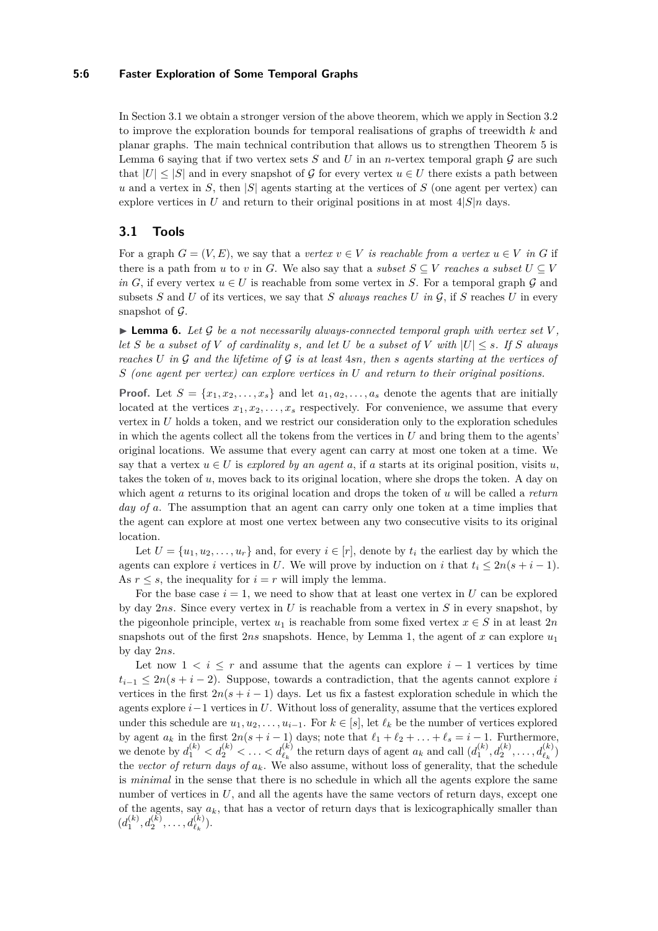#### **5:6 Faster Exploration of Some Temporal Graphs**

In Section [3.1](#page-5-0) we obtain a stronger version of the above theorem, which we apply in Section [3.2](#page-7-1) to improve the exploration bounds for temporal realisations of graphs of treewidth *k* and planar graphs. The main technical contribution that allows us to strengthen Theorem [5](#page-4-2) is Lemma [6](#page-5-1) saying that if two vertex sets  $S$  and  $U$  in an *n*-vertex temporal graph  $G$  are such that  $|U| \leq |S|$  and in every snapshot of G for every vertex  $u \in U$  there exists a path between *u* and a vertex in *S*, then |*S*| agents starting at the vertices of *S* (one agent per vertex) can explore vertices in *U* and return to their original positions in at most  $4|S|n$  days.

## <span id="page-5-0"></span>**3.1 Tools**

For a graph  $G = (V, E)$ , we say that a *vertex*  $v \in V$  *is reachable from a vertex*  $u \in V$  *in G* if there is a path from *u* to *v* in *G*. We also say that a *subset*  $S \subseteq V$  *reaches a subset*  $U \subseteq V$ *in G*, if every vertex  $u \in U$  is reachable from some vertex in *S*. For a temporal graph  $\mathcal G$  and subsets *S* and *U* of its vertices, we say that *S always reaches U* in  $\mathcal{G}$ , if *S* reaches *U* in every snapshot of  $\mathcal G$ .

<span id="page-5-1"></span> $\blacktriangleright$  **Lemma 6.** Let G be a not necessarily always-connected temporal graph with vertex set V, *let S be a subset of V of cardinality s, and let U be a subset of V with*  $|U| \leq s$ *. If S always reaches U in* G *and the lifetime of* G *is at least* 4*sn, then s agents starting at the vertices of S (one agent per vertex) can explore vertices in U and return to their original positions.*

**Proof.** Let  $S = \{x_1, x_2, \ldots, x_s\}$  and let  $a_1, a_2, \ldots, a_s$  denote the agents that are initially located at the vertices  $x_1, x_2, \ldots, x_s$  respectively. For convenience, we assume that every vertex in *U* holds a token, and we restrict our consideration only to the exploration schedules in which the agents collect all the tokens from the vertices in *U* and bring them to the agents' original locations. We assume that every agent can carry at most one token at a time. We say that a vertex  $u \in U$  is *explored by an agent a*, if *a* starts at its original position, visits *u*, takes the token of *u*, moves back to its original location, where she drops the token. A day on which agent *a* returns to its original location and drops the token of *u* will be called a *return day of a*. The assumption that an agent can carry only one token at a time implies that the agent can explore at most one vertex between any two consecutive visits to its original location.

Let  $U = \{u_1, u_2, \ldots, u_r\}$  and, for every  $i \in [r]$ , denote by  $t_i$  the earliest day by which the agents can explore *i* vertices in *U*. We will prove by induction on *i* that  $t_i \leq 2n(s + i - 1)$ . As  $r \leq s$ , the inequality for  $i = r$  will imply the lemma.

For the base case  $i = 1$ , we need to show that at least one vertex in *U* can be explored by day 2*ns*. Since every vertex in *U* is reachable from a vertex in *S* in every snapshot, by the pigeonhole principle, vertex  $u_1$  is reachable from some fixed vertex  $x \in S$  in at least 2*n* snapshots out of the first  $2ns$  snapshots. Hence, by Lemma [1,](#page-2-1) the agent of x can explore  $u_1$ by day 2*ns*.

Let now  $1 \leq i \leq r$  and assume that the agents can explore  $i-1$  vertices by time  $t_{i-1} \leq 2n(s+i-2)$ . Suppose, towards a contradiction, that the agents cannot explore *i* vertices in the first  $2n(s + i - 1)$  days. Let us fix a fastest exploration schedule in which the agents explore *i*−1 vertices in *U*. Without loss of generality, assume that the vertices explored under this schedule are  $u_1, u_2, \ldots, u_{i-1}$ . For  $k \in [s]$ , let  $\ell_k$  be the number of vertices explored by agent  $a_k$  in the first  $2n(s + i - 1)$  days; note that  $\ell_1 + \ell_2 + \ldots + \ell_s = i - 1$ . Furthermore, we denote by  $d_1^{(k)} < d_2^{(k)} < \ldots < d_{\ell_k}^{(k)}$  the return days of agent  $a_k$  and call  $(d_1^{(k)}, d_2^{(k)}, \ldots, d_{\ell_k}^{(k)})$ the *vector of return days of*  $a_k$ . We also assume, without loss of generality, that the schedule is *minimal* in the sense that there is no schedule in which all the agents explore the same number of vertices in  $U$ , and all the agents have the same vectors of return days, except one of the agents, say  $a_k$ , that has a vector of return days that is lexicographically smaller than  $(d_1^{(k)}, d_2^{(k)}, \ldots, d_{\ell_k}^{(k)}).$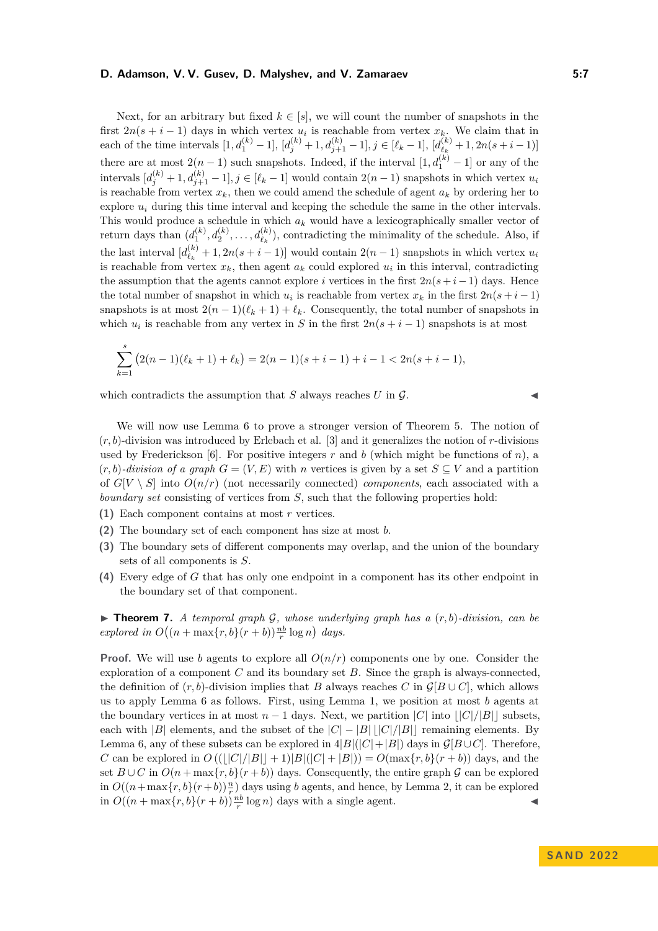#### **D. Adamson, V. V. Gusev, D. Malyshev, and V. Zamaraev 5:7**

Next, for an arbitrary but fixed  $k \in [s]$ , we will count the number of snapshots in the first  $2n(s + i - 1)$  days in which vertex  $u_i$  is reachable from vertex  $x_k$ . We claim that in each of the time intervals  $[1, d_1^{(k)} - 1]$ ,  $[d_j^{(k)} + 1, d_{j+1}^{(k)} - 1]$ ,  $j \in [\ell_k - 1]$ ,  $[d_{\ell_k}^{(k)}]$  $\frac{f(k)}{\ell_k}+1, 2n(s+i-1)]$ there are at most  $2(n-1)$  such snapshots. Indeed, if the interval  $[1, d_1^{(k)} - 1]$  or any of the  $\text{intervals } [d_j^{(k)} + 1, d_{j+1}^{(k)} - 1], j \in [\ell_k - 1] \text{ would contain } 2(n-1) \text{ snapshots in which vertex } u_i$ is reachable from vertex  $x_k$ , then we could amend the schedule of agent  $a_k$  by ordering her to explore *u<sup>i</sup>* during this time interval and keeping the schedule the same in the other intervals. This would produce a schedule in which *a<sup>k</sup>* would have a lexicographically smaller vector of return days than  $(d_1^{(k)}, d_2^{(k)}, \ldots, d_{\ell_k}^{(k)})$ , contradicting the minimality of the schedule. Also, if the last interval  $\left[ d_{\ell_{k}}^{(k)} \right]$  $\binom{k}{\ell_k}$  + 1, 2*n*(*s* + *i* − 1)] would contain 2(*n* − 1) snapshots in which vertex *u<sub>i</sub>* is reachable from vertex  $x_k$ , then agent  $a_k$  could explored  $u_i$  in this interval, contradicting the assumption that the agents cannot explore *i* vertices in the first  $2n(s+i-1)$  days. Hence the total number of snapshot in which  $u_i$  is reachable from vertex  $x_k$  in the first  $2n(s+i-1)$ snapshots is at most  $2(n-1)(\ell_k+1) + \ell_k$ . Consequently, the total number of snapshots in which  $u_i$  is reachable from any vertex in *S* in the first  $2n(s + i - 1)$  snapshots is at most

$$
\sum_{k=1}^{s} (2(n-1)(\ell_k+1) + \ell_k) = 2(n-1)(s+i-1) + i - 1 < 2n(s+i-1),
$$

which contradicts the assumption that  $S$  always reaches  $U$  in  $\mathcal{G}$ .

We will now use Lemma [6](#page-5-1) to prove a stronger version of Theorem [5.](#page-4-2) The notion of  $(r, b)$ -division was introduced by Erlebach et al. [\[3\]](#page-9-3) and it generalizes the notion of  $r$ -divisions used by Frederickson [\[6\]](#page-9-7). For positive integers  $r$  and  $b$  (which might be functions of  $n$ ), a  $(r, b)$ *-division of a graph*  $G = (V, E)$  with *n* vertices is given by a set  $S \subseteq V$  and a partition of  $G[V \setminus S]$  into  $O(n/r)$  (not necessarily connected) *components*, each associated with a *boundary set* consisting of vertices from *S*, such that the following properties hold:

- **(1)** Each component contains at most *r* vertices.
- **(2)** The boundary set of each component has size at most *b*.
- **(3)** The boundary sets of different components may overlap, and the union of the boundary sets of all components is *S*.
- **(4)** Every edge of *G* that has only one endpoint in a component has its other endpoint in the boundary set of that component.

<span id="page-6-0"></span> $\triangleright$  **Theorem 7.** *A temporal graph* G, whose underlying graph has a  $(r, b)$ -division, can be *explored in*  $O((n + \max\{r, b\}(r + b))\frac{nb}{r}\log n)$  *days.* 

**Proof.** We will use *b* agents to explore all  $O(n/r)$  components one by one. Consider the exploration of a component *C* and its boundary set *B*. Since the graph is always-connected, the definition of  $(r, b)$ -division implies that *B* always reaches *C* in  $\mathcal{G}[B \cup C]$ , which allows us to apply Lemma [6](#page-5-1) as follows. First, using Lemma [1,](#page-2-1) we position at most *b* agents at the boundary vertices in at most  $n-1$  days. Next, we partition  $|C|$  into  $||C|/|B||$  subsets, each with  $|B|$  elements, and the subset of the  $|C| - |B|$  | $|C|/|B|$  remaining elements. By Lemma [6,](#page-5-1) any of these subsets can be explored in  $4|B|(|C|+|B|)$  days in  $\mathcal{G}[B\cup C]$ . Therefore, *C* can be explored in  $O((||C||/|B|| + 1)|B||(C| + |B|)) = O(\max\{r, b\}(r + b))$  days, and the set  $B \cup C$  in  $O(n + \max\{r, b\}(r + b))$  days. Consequently, the entire graph G can be explored in  $O((n + \max\{r, b\}(r + b)) \frac{n}{r})$  days using *b* agents, and hence, by Lemma [2,](#page-2-2) it can be explored in  $O((n + \max\{r, b\}(r + b))\frac{nb}{r}\log n)$  days with a single agent.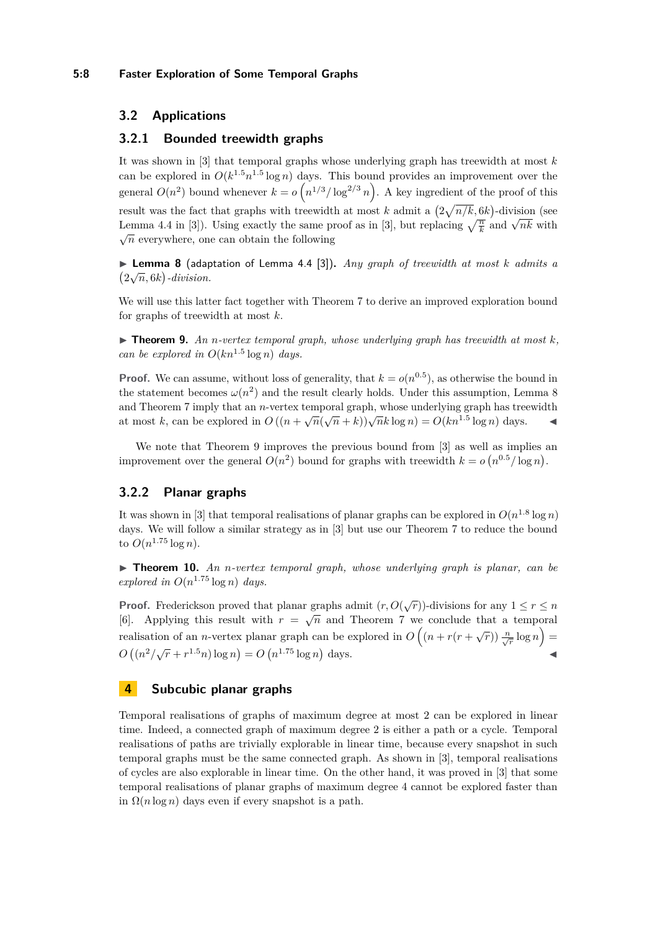## <span id="page-7-1"></span>**3.2 Applications**

## **3.2.1 Bounded treewidth graphs**

It was shown in [\[3\]](#page-9-3) that temporal graphs whose underlying graph has treewidth at most *k* can be explored in  $O(k^{1.5}n^{1.5}\log n)$  days. This bound provides an improvement over the general  $O(n^2)$  bound whenever  $k = o\left(n^{1/3}/\log^{2/3} n\right)$ . A key ingredient of the proof of this result was the fact that graphs with treewidth at most *k* admit a  $\left(2\sqrt{n/k}, 6k\right)$ -division (see Lemma 4.4 in [\[3\]](#page-9-3)). Using exactly the same proof as in [3], but replacing  $\sqrt{\frac{n}{k}}$  and  $\sqrt{nk}$  with  $\sqrt{n}$  everywhere, one can obtain the following

<span id="page-7-2"></span>▶ **Lemma 8** (adaptation of Lemma 4.4 [\[3\]](#page-9-3))**.** *Any graph of treewidth at most k admits a*  $\frac{2\sqrt{n}}{6k}$ -division.

We will use this latter fact together with Theorem [7](#page-6-0) to derive an improved exploration bound for graphs of treewidth at most *k*.

<span id="page-7-3"></span> $\blacktriangleright$  **Theorem 9.** An *n*-vertex temporal graph, whose underlying graph has treewidth at most  $k$ , *can be explored in*  $O(kn^{1.5} \log n)$  *days.* 

**Proof.** We can assume, without loss of generality, that  $k = o(n^{0.5})$ , as otherwise the bound in the statement becomes  $\omega(n^2)$  and the result clearly holds. Under this assumption, Lemma [8](#page-7-2) and Theorem [7](#page-6-0) imply that an *n*-vertex temporal graph, whose underlying graph has treewidth and Theorem *t* imply that an *n*-vertex temporal graph, whose underlying graph has treewed at most *k*, can be explored in  $O((n + \sqrt{n}(\sqrt{n} + k))\sqrt{n}k \log n) = O(kn^{1.5} \log n)$  days.

We note that Theorem [9](#page-7-3) improves the previous bound from [\[3\]](#page-9-3) as well as implies an improvement over the general  $O(n^2)$  bound for graphs with treewidth  $k = o(n^{0.5}/\log n)$ .

# **3.2.2 Planar graphs**

It was shown in [\[3\]](#page-9-3) that temporal realisations of planar graphs can be explored in  $O(n^{1.8} \log n)$ days. We will follow a similar strategy as in [\[3\]](#page-9-3) but use our Theorem [7](#page-6-0) to reduce the bound to  $O(n^{1.75} \log n)$ .

▶ **Theorem 10.** *An n-vertex temporal graph, whose underlying graph is planar, can be explored in*  $O(n^{1.75} \log n)$  *days.* 

**Proof.** Frederickson proved that planar graphs admit  $(r, O(\sqrt{r}))$ -divisions for any  $1 \le r \le n$ [\[6\]](#page-9-7). Applying this result with  $r = \sqrt{n}$  and Theorem [7](#page-6-0) we conclude that a temporal realisation of an *n*-vertex planar graph can be explored in  $O((n + r(r + \sqrt{r})) \frac{n}{\sqrt{r}} \log n)$  $O((n^2/\sqrt{r} + r^{1.5}n) \log n) = O(n^{1.75} \log n) \text{ days.}$ 

## <span id="page-7-0"></span>**4 Subcubic planar graphs**

<span id="page-7-4"></span>Temporal realisations of graphs of maximum degree at most 2 can be explored in linear time. Indeed, a connected graph of maximum degree 2 is either a path or a cycle. Temporal realisations of paths are trivially explorable in linear time, because every snapshot in such temporal graphs must be the same connected graph. As shown in [\[3\]](#page-9-3), temporal realisations of cycles are also explorable in linear time. On the other hand, it was proved in [\[3\]](#page-9-3) that some temporal realisations of planar graphs of maximum degree 4 cannot be explored faster than in  $\Omega(n \log n)$  days even if every snapshot is a path.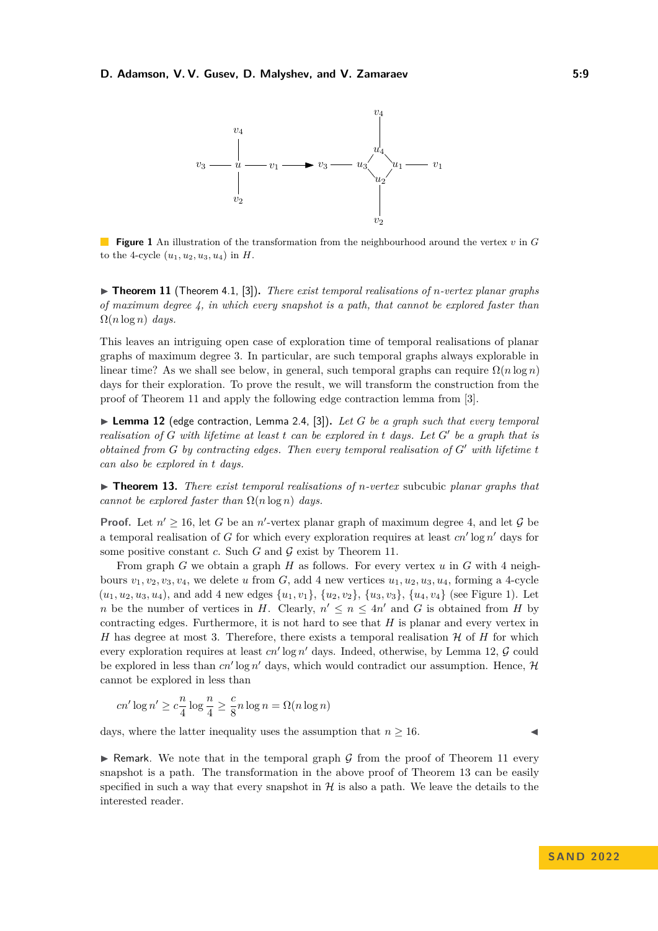<span id="page-8-0"></span>

**Figure 1** An illustration of the transformation from the neighbourhood around the vertex *v* in *G* to the 4-cycle  $(u_1, u_2, u_3, u_4)$  in *H*.

▶ **Theorem 11** (Theorem 4.1, [\[3\]](#page-9-3))**.** *There exist temporal realisations of n-vertex planar graphs of maximum degree 4, in which every snapshot is a path, that cannot be explored faster than*  $\Omega(n \log n)$  *days.* 

This leaves an intriguing open case of exploration time of temporal realisations of planar graphs of maximum degree 3. In particular, are such temporal graphs always explorable in linear time? As we shall see below, in general, such temporal graphs can require  $\Omega(n \log n)$ days for their exploration. To prove the result, we will transform the construction from the proof of Theorem [11](#page-7-4) and apply the following edge contraction lemma from [\[3\]](#page-9-3).

<span id="page-8-1"></span>▶ **Lemma 12** (edge contraction, Lemma 2.4, [\[3\]](#page-9-3))**.** *Let G be a graph such that every temporal realisation of G with lifetime at least t can be explored in t days. Let G*′ *be a graph that is obtained from G by contracting edges. Then every temporal realisation of G*′ *with lifetime t can also be explored in t days.*

<span id="page-8-2"></span>▶ **Theorem 13.** *There exist temporal realisations of n-vertex* subcubic *planar graphs that cannot be explored faster than*  $\Omega(n \log n)$  *days.* 

**Proof.** Let  $n' \geq 16$ , let G be an *n'*-vertex planar graph of maximum degree 4, and let G be a temporal realisation of *G* for which every exploration requires at least *cn*′ log *n* ′ days for some positive constant  $c$ . Such  $G$  and  $\mathcal G$  exist by Theorem [11.](#page-7-4)

From graph *G* we obtain a graph *H* as follows. For every vertex *u* in *G* with 4 neighbours  $v_1, v_2, v_3, v_4$ , we delete *u* from *G*, add 4 new vertices  $u_1, u_2, u_3, u_4$ , forming a 4-cycle  $(u_1, u_2, u_3, u_4)$ , and add 4 new edges  $\{u_1, v_1\}$ ,  $\{u_2, v_2\}$ ,  $\{u_3, v_3\}$ ,  $\{u_4, v_4\}$  (see Figure [1\)](#page-8-0). Let *n* be the number of vertices in *H*. Clearly,  $n' \leq n \leq 4n'$  and *G* is obtained from *H* by contracting edges. Furthermore, it is not hard to see that *H* is planar and every vertex in *H* has degree at most 3. Therefore, there exists a temporal realisation  $H$  of *H* for which every exploration requires at least *cn'* log *n'* days. Indeed, otherwise, by Lemma [12,](#page-8-1) G could be explored in less than  $cn' \log n'$  days, which would contradict our assumption. Hence,  $\mathcal{H}$ cannot be explored in less than

$$
cn' \log n' \ge c \frac{n}{4} \log \frac{n}{4} \ge \frac{c}{8} n \log n = \Omega(n \log n)
$$

days, where the latter inequality uses the assumption that  $n \geq 16$ .

 $\triangleright$  Remark. We note that in the temporal graph G from the proof of Theorem [11](#page-7-4) every snapshot is a path. The transformation in the above proof of Theorem [13](#page-8-2) can be easily specified in such a way that every snapshot in  $H$  is also a path. We leave the details to the interested reader.